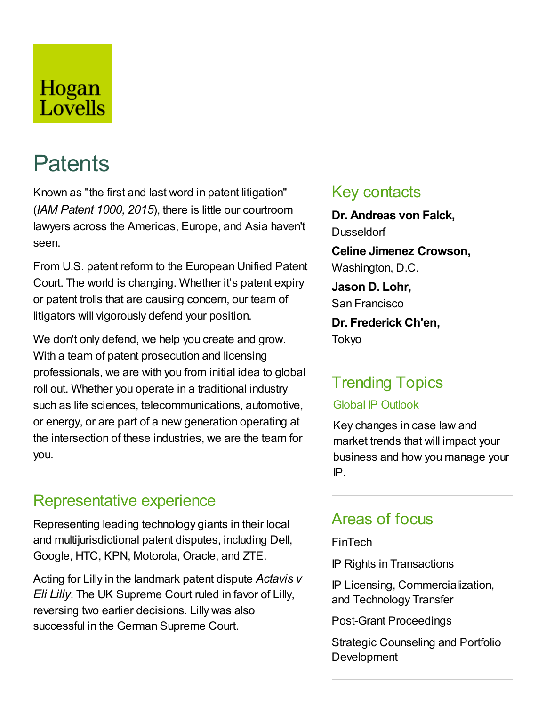## Hogan Lovells

# **Patents**

Known as "the first and last word in patent litigation" (*IAM Patent 1000, 2015*), there is little our courtroom lawyers across the Americas, Europe, and Asia haven't seen.

From U.S. patent reform to the European Unified Patent Court. The world is changing. Whether it's patent expiry or patent trolls that are causing concern, our team of litigators will vigorously defend your position.

We don't only defend, we help you create and grow. With a team of patent prosecution and licensing professionals, we are with you from initial idea to global roll out. Whether you operate in a traditional industry such as life sciences, telecommunications, automotive, or energy, or are part of a new generation operating at the intersection of these industries, we are the team for you.

### Representative experience

Representing leading technology giants in their local and multijurisdictional patent disputes, including Dell, Google, HTC, KPN, Motorola, Oracle, and ZTE.

Acting for Lilly in the landmark patent dispute *Actavis v Eli Lilly*. The UK Supreme Court ruled in favor of Lilly, reversing two earlier decisions. Lilly was also successful in the German Supreme Court.

### Key contacts

**Dr. Andreas von Falck, Dusseldorf Celine Jimenez Crowson,** Washington, D.C. **Jason D. Lohr,** San Francisco **Dr. Frederick Ch'en,** Tokyo

### Trending Topics

### Global IP Outlook

Key changes in case law and market trends that will impact your business and how you manage your IP.

### Areas of focus

### FinTech

IP Rights in Transactions

IP Licensing, Commercialization, and Technology Transfer

Post-Grant Proceedings

Strategic Counseling and Portfolio **Development**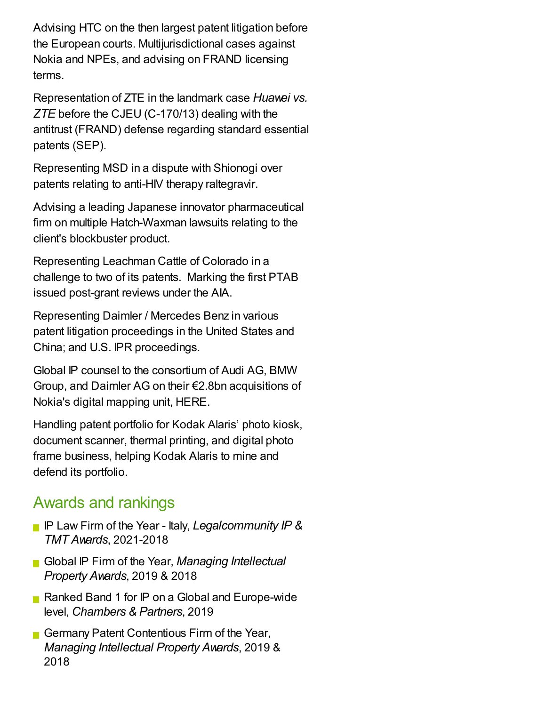Advising HTC on the then largest patent litigation before the European courts. Multijurisdictional cases against Nokia and NPEs, and advising on FRAND licensing terms.

Representation of ZTE in the landmark case *Huawei vs. ZTE* before the CJEU (C-170/13) dealing with the antitrust (FRAND) defense regarding standard essential patents (SEP).

Representing MSD in a dispute with Shionogi over patents relating to anti-HIV therapy raltegravir.

Advising a leading Japanese innovator pharmaceutical firm on multiple Hatch-Waxman lawsuits relating to the client's blockbuster product.

Representing Leachman Cattle of Colorado in a challenge to two of its patents. Marking the first PTAB issued post-grant reviews under the AIA.

Representing Daimler / Mercedes Benz in various patent litigation proceedings in the United States and China; and U.S. IPR proceedings.

Global IP counsel to the consortium of Audi AG, BMW Group, and Daimler AG on their €2.8bn acquisitions of Nokia's digital mapping unit, HERE.

Handling patent portfolio for Kodak Alaris' photo kiosk, document scanner, thermal printing, and digital photo frame business, helping Kodak Alaris to mine and defend its portfolio.

### Awards and rankings

- IP Law Firm of the Year Italy, *Legalcommunity IP & TMT Awards*, 2021-2018
- Global IP Firm of the Year, *Managing Intellectual Property Awards*, 2019 & 2018
- Ranked Band 1 for IP on a Global and Europe-wide level, *Chambers & Partners*, 2019
- Germany Patent Contentious Firm of the Year, *Managing Intellectual Property Awards*, 2019 & 2018